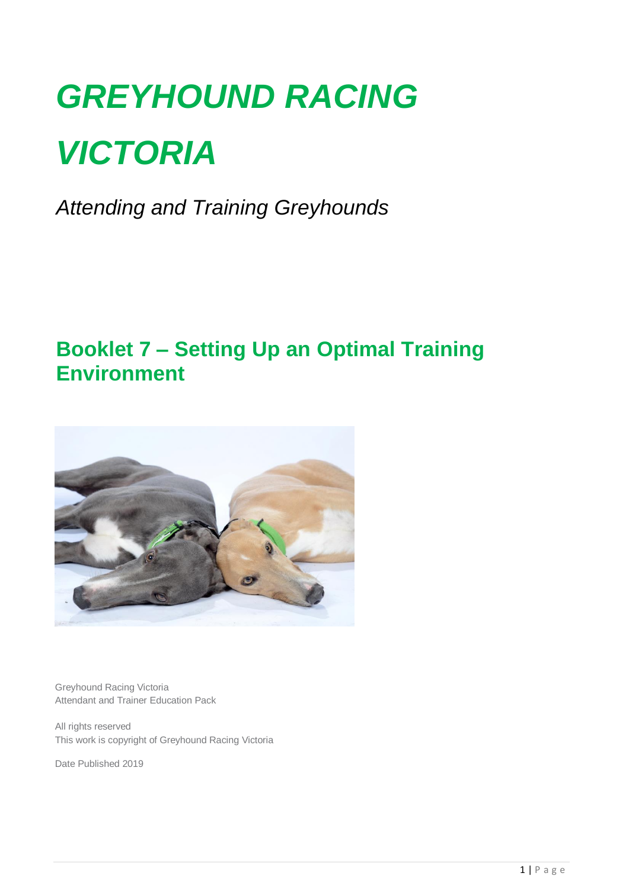# *GREYHOUND RACING VICTORIA*

*Attending and Training Greyhounds*

# **Booklet 7 – Setting Up an Optimal Training Environment**



Greyhound Racing Victoria Attendant and Trainer Education Pack

All rights reserved This work is copyright of Greyhound Racing Victoria

Date Published 2019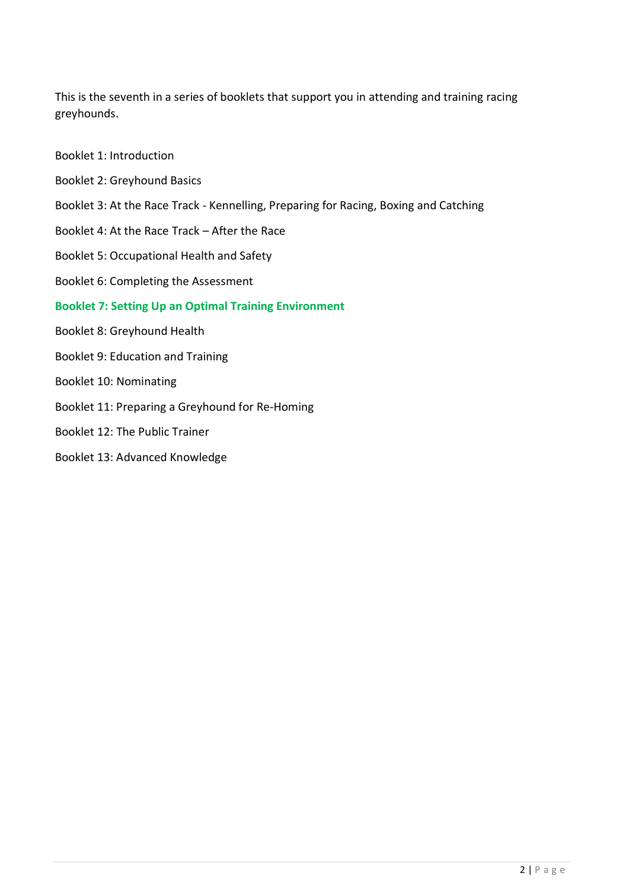This is the seventh in a series of booklets that support you in attending and training racing greyhounds.

- Booklet 1: Introduction
- Booklet 2: Greyhound Basics
- Booklet 3: At the Race Track Kennelling, Preparing for Racing, Boxing and Catching
- Booklet 4: At the Race Track After the Race
- Booklet 5: Occupational Health and Safety
- Booklet 6: Completing the Assessment

#### **Booklet 7: Setting Up an Optimal Training Environment**

- Booklet 8: Greyhound Health
- Booklet 9: Education and Training
- Booklet 10: Nominating
- Booklet 11: Preparing a Greyhound for Re-Homing
- Booklet 12: The Public Trainer
- Booklet 13: Advanced Knowledge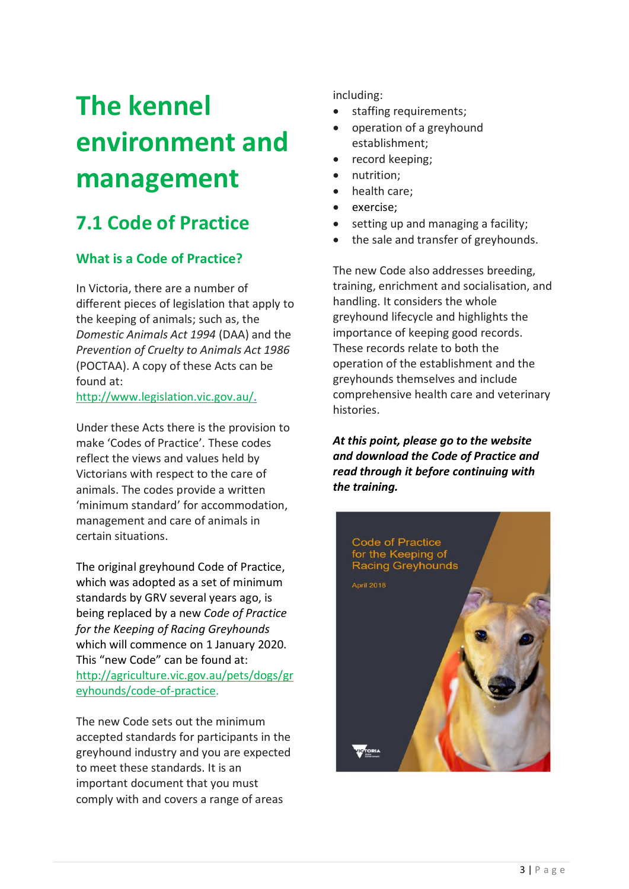# **The kennel environment and management**

# **7.1 Code of Practice**

# **What is a Code of Practice?**

In Victoria, there are a number of different pieces of legislation that apply to the keeping of animals; such as, the *Domestic Animals Act 1994* (DAA) and the *Prevention of Cruelty to Animals Act 1986*  (POCTAA). A copy of these Acts can be found at:

[http://www.legislation.vic.gov.au/.](http://www.legislation.vic.gov.au/)

Under these Acts there is the provision to make 'Codes of Practice'. These codes reflect the views and values held by Victorians with respect to the care of animals. The codes provide a written 'minimum standard' for accommodation, management and care of animals in certain situations.

The original greyhound Code of Practice, which was adopted as a set of minimum standards by GRV several years ago, is being replaced by a new *Code of Practice for the Keeping of Racing Greyhounds* which will commence on 1 January 2020. This "new Code" can be found at: [http://agriculture.vic.gov.au/pets/dogs/gr](http://agriculture.vic.gov.au/pets/dogs/greyhounds/code-of-practice) [eyhounds/code-of-practice.](http://agriculture.vic.gov.au/pets/dogs/greyhounds/code-of-practice)

The new Code sets out the minimum accepted standards for participants in the greyhound industry and you are expected to meet these standards. It is an important document that you must comply with and covers a range of areas

including:

- staffing requirements;
- operation of a greyhound establishment;
- record keeping;
- nutrition;
- health care:
- exercise;
- setting up and managing a facility;
- the sale and transfer of greyhounds.

The new Code also addresses breeding, training, enrichment and socialisation, and handling. It considers the whole greyhound lifecycle and highlights the importance of keeping good records. These records relate to both the operation of the establishment and the greyhounds themselves and include comprehensive health care and veterinary histories.

*At this point, please go to the website and download the Code of Practice and read through it before continuing with the training.*

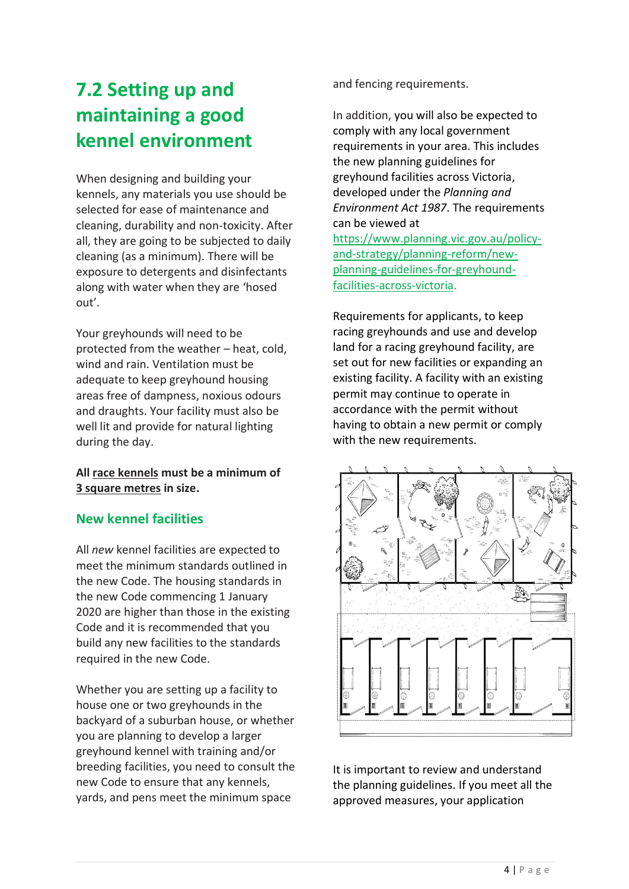# **7.2 Setting up and maintaining a good kennel environment**

When designing and building your kennels, any materials you use should be selected for ease of maintenance and cleaning, durability and non-toxicity. After all, they are going to be subjected to daily cleaning (as a minimum). There will be exposure to detergents and disinfectants along with water when they are 'hosed out'.

Your greyhounds will need to be protected from the weather – heat, cold, wind and rain. Ventilation must be adequate to keep greyhound housing areas free of dampness, noxious odours and draughts. Your facility must also be well lit and provide for natural lighting during the day.

**All race kennels must be a minimum of 3 square metres in size.**

### **New kennel facilities**

All *new* kennel facilities are expected to meet the minimum standards outlined in the new Code. The housing standards in the new Code commencing 1 January 2020 are higher than those in the existing Code and it is recommended that you build any new facilities to the standards required in the new Code.

Whether you are setting up a facility to house one or two greyhounds in the backyard of a suburban house, or whether you are planning to develop a larger greyhound kennel with training and/or breeding facilities, you need to consult the new Code to ensure that any kennels, yards, and pens meet the minimum space

and fencing requirements.

In addition, you will also be expected to comply with any local government requirements in your area. This includes the new planning guidelines for greyhound facilities across Victoria, developed under the *Planning and Environment Act 1987*. The requirements can be viewed at [https://www.planning.vic.gov.au/policy](https://www.planning.vic.gov.au/policy-and-strategy/planning-reform/new-planning-guidelines-for-greyhound-facilities-across-victoria)[and-strategy/planning-reform/new](https://www.planning.vic.gov.au/policy-and-strategy/planning-reform/new-planning-guidelines-for-greyhound-facilities-across-victoria)[planning-guidelines-for-greyhound](https://www.planning.vic.gov.au/policy-and-strategy/planning-reform/new-planning-guidelines-for-greyhound-facilities-across-victoria)[facilities-across-victoria.](https://www.planning.vic.gov.au/policy-and-strategy/planning-reform/new-planning-guidelines-for-greyhound-facilities-across-victoria)

Requirements for applicants, to keep racing greyhounds and use and develop land for a racing greyhound facility, are set out for new facilities or expanding an existing facility. A facility with an existing permit may continue to operate in accordance with the permit without having to obtain a new permit or comply with the new requirements.



It is important to review and understand the planning guidelines. If you meet all the approved measures, your application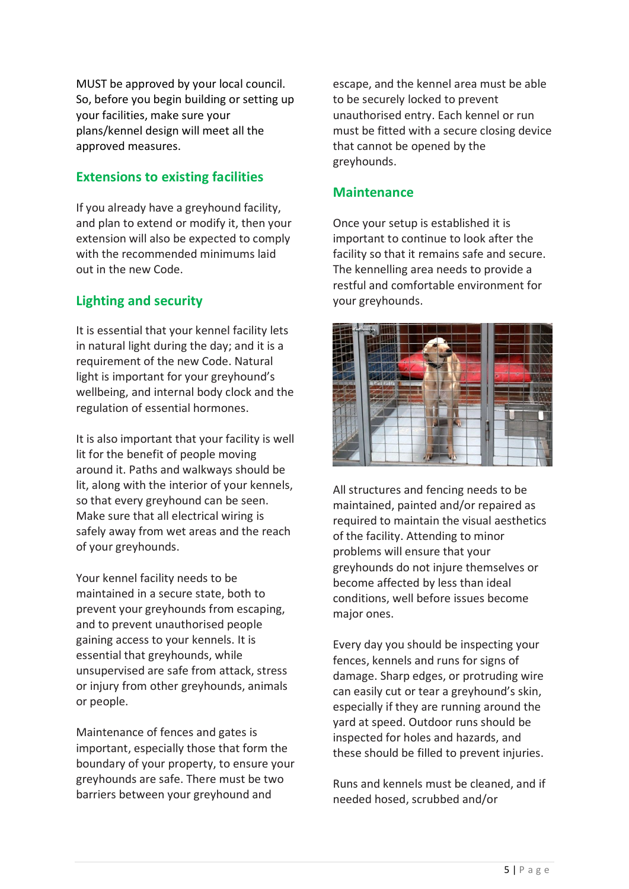MUST be approved by your local council. So, before you begin building or setting up your facilities, make sure your plans/kennel design will meet all the approved measures.

### **Extensions to existing facilities**

If you already have a greyhound facility, and plan to extend or modify it, then your extension will also be expected to comply with the recommended minimums laid out in the new Code.

## **Lighting and security**

It is essential that your kennel facility lets in natural light during the day; and it is a requirement of the new Code. Natural light is important for your greyhound's wellbeing, and internal body clock and the regulation of essential hormones.

It is also important that your facility is well lit for the benefit of people moving around it. Paths and walkways should be lit, along with the interior of your kennels, so that every greyhound can be seen. Make sure that all electrical wiring is safely away from wet areas and the reach of your greyhounds.

Your kennel facility needs to be maintained in a secure state, both to prevent your greyhounds from escaping, and to prevent unauthorised people gaining access to your kennels. It is essential that greyhounds, while unsupervised are safe from attack, stress or injury from other greyhounds, animals or people.

Maintenance of fences and gates is important, especially those that form the boundary of your property, to ensure your greyhounds are safe. There must be two barriers between your greyhound and

escape, and the kennel area must be able to be securely locked to prevent unauthorised entry. Each kennel or run must be fitted with a secure closing device that cannot be opened by the greyhounds.

### **Maintenance**

Once your setup is established it is important to continue to look after the facility so that it remains safe and secure. The kennelling area needs to provide a restful and comfortable environment for your greyhounds.



All structures and fencing needs to be maintained, painted and/or repaired as required to maintain the visual aesthetics of the facility. Attending to minor problems will ensure that your greyhounds do not injure themselves or become affected by less than ideal conditions, well before issues become major ones.

Every day you should be inspecting your fences, kennels and runs for signs of damage. Sharp edges, or protruding wire can easily cut or tear a greyhound's skin, especially if they are running around the yard at speed. Outdoor runs should be inspected for holes and hazards, and these should be filled to prevent injuries.

Runs and kennels must be cleaned, and if needed hosed, scrubbed and/or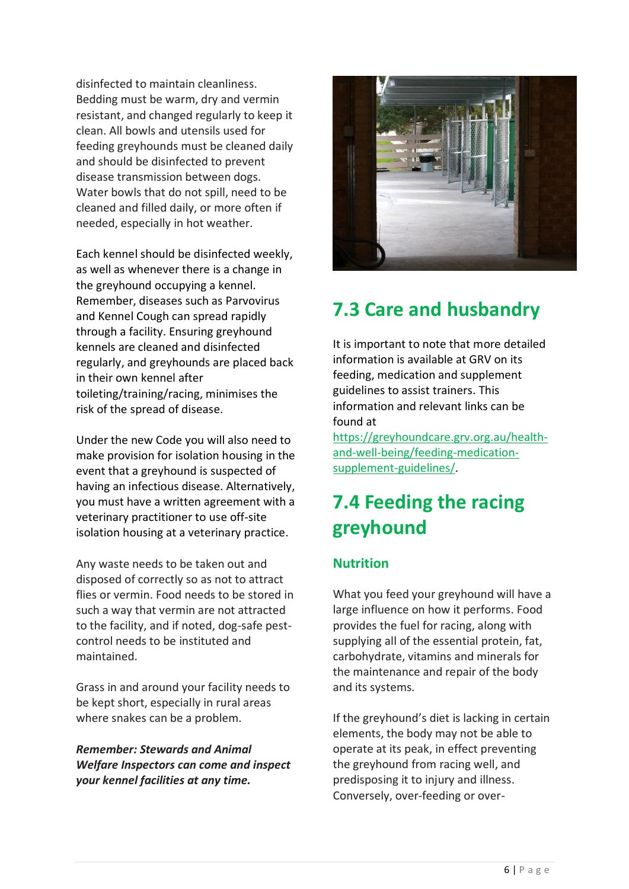disinfected to maintain cleanliness. Bedding must be warm, dry and vermin resistant, and changed regularly to keep it clean. All bowls and utensils used for feeding greyhounds must be cleaned daily and should be disinfected to prevent disease transmission between dogs. Water bowls that do not spill, need to be cleaned and filled daily, or more often if needed, especially in hot weather.

Each kennel should be disinfected weekly, as well as whenever there is a change in the greyhound occupying a kennel. Remember, diseases such as Parvovirus and Kennel Cough can spread rapidly through a facility. Ensuring greyhound kennels are cleaned and disinfected regularly, and greyhounds are placed back in their own kennel after toileting/training/racing, minimises the risk of the spread of disease.

Under the new Code you will also need to make provision for isolation housing in the event that a greyhound is suspected of having an infectious disease. Alternatively, you must have a written agreement with a veterinary practitioner to use off-site isolation housing at a veterinary practice.

Any waste needs to be taken out and disposed of correctly so as not to attract flies or vermin. Food needs to be stored in such a way that vermin are not attracted to the facility, and if noted, dog-safe pestcontrol needs to be instituted and maintained.

Grass in and around your facility needs to be kept short, especially in rural areas where snakes can be a problem.

*Remember: Stewards and Animal Welfare Inspectors can come and inspect your kennel facilities at any time.*



# **7.3 Care and husbandry**

It is important to note that more detailed information is available at GRV on its feeding, medication and supplement guidelines to assist trainers. This information and relevant links can be found at

[https://greyhoundcare.grv.org.au/health](https://greyhoundcare.grv.org.au/health-and-well-being/feeding-medication-supplement-guidelines/)[and-well-being/feeding-medication](https://greyhoundcare.grv.org.au/health-and-well-being/feeding-medication-supplement-guidelines/)[supplement-guidelines/.](https://greyhoundcare.grv.org.au/health-and-well-being/feeding-medication-supplement-guidelines/)

# **7.4 Feeding the racing greyhound**

## **Nutrition**

What you feed your greyhound will have a large influence on how it performs. Food provides the fuel for racing, along with supplying all of the essential protein, fat, carbohydrate, vitamins and minerals for the maintenance and repair of the body and its systems.

If the greyhound's diet is lacking in certain elements, the body may not be able to operate at its peak, in effect preventing the greyhound from racing well, and predisposing it to injury and illness. Conversely, over-feeding or over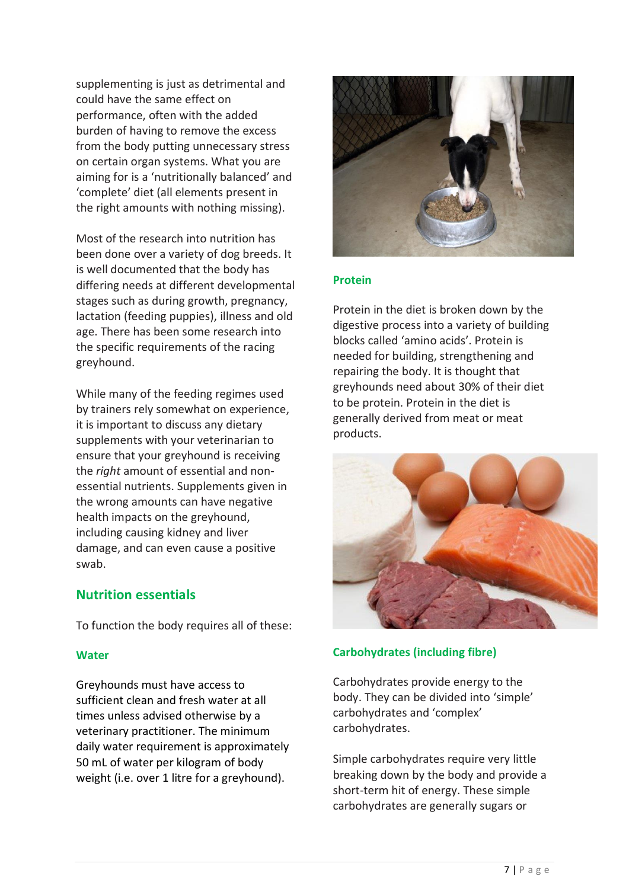supplementing is just as detrimental and could have the same effect on performance, often with the added burden of having to remove the excess from the body putting unnecessary stress on certain organ systems. What you are aiming for is a 'nutritionally balanced' and 'complete' diet (all elements present in the right amounts with nothing missing).

Most of the research into nutrition has been done over a variety of dog breeds. It is well documented that the body has differing needs at different developmental stages such as during growth, pregnancy, lactation (feeding puppies), illness and old age. There has been some research into the specific requirements of the racing greyhound.

While many of the feeding regimes used by trainers rely somewhat on experience, it is important to discuss any dietary supplements with your veterinarian to ensure that your greyhound is receiving the *right* amount of essential and nonessential nutrients. Supplements given in the wrong amounts can have negative health impacts on the greyhound, including causing kidney and liver damage, and can even cause a positive swab.

#### **Nutrition essentials**

To function the body requires all of these:

#### **Water**

Greyhounds must have access to sufficient clean and fresh water at all times unless advised otherwise by a veterinary practitioner. The minimum daily water requirement is approximately 50 mL of water per kilogram of body weight (i.e. over 1 litre for a greyhound).



#### **Protein**

Protein in the diet is broken down by the digestive process into a variety of building blocks called 'amino acids'. Protein is needed for building, strengthening and repairing the body. It is thought that greyhounds need about 30% of their diet to be protein. Protein in the diet is generally derived from meat or meat products.



#### **Carbohydrates (including fibre)**

Carbohydrates provide energy to the body. They can be divided into 'simple' carbohydrates and 'complex' carbohydrates.

Simple carbohydrates require very little breaking down by the body and provide a short-term hit of energy. These simple carbohydrates are generally sugars or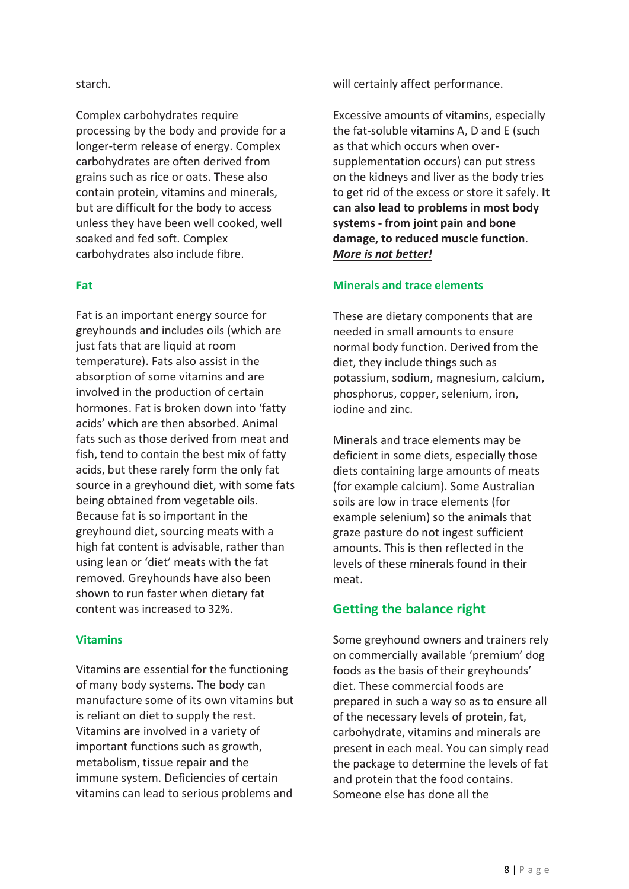#### starch.

Complex carbohydrates require processing by the body and provide for a longer-term release of energy. Complex carbohydrates are often derived from grains such as rice or oats. These also contain protein, vitamins and minerals, but are difficult for the body to access unless they have been well cooked, well soaked and fed soft. Complex carbohydrates also include fibre.

#### **Fat**

Fat is an important energy source for greyhounds and includes oils (which are just fats that are liquid at room temperature). Fats also assist in the absorption of some vitamins and are involved in the production of certain hormones. Fat is broken down into 'fatty acids' which are then absorbed. Animal fats such as those derived from meat and fish, tend to contain the best mix of fatty acids, but these rarely form the only fat source in a greyhound diet, with some fats being obtained from vegetable oils. Because fat is so important in the greyhound diet, sourcing meats with a high fat content is advisable, rather than using lean or 'diet' meats with the fat removed. Greyhounds have also been shown to run faster when dietary fat content was increased to 32%.

#### **Vitamins**

Vitamins are essential for the functioning of many body systems. The body can manufacture some of its own vitamins but is reliant on diet to supply the rest. Vitamins are involved in a variety of important functions such as growth, metabolism, tissue repair and the immune system. Deficiencies of certain vitamins can lead to serious problems and will certainly affect performance.

Excessive amounts of vitamins, especially the fat-soluble vitamins A, D and E (such as that which occurs when oversupplementation occurs) can put stress on the kidneys and liver as the body tries to get rid of the excess or store it safely. **It can also lead to problems in most body systems - from joint pain and bone damage, to reduced muscle function**. *More is not better!*

#### **Minerals and trace elements**

These are dietary components that are needed in small amounts to ensure normal body function. Derived from the diet, they include things such as potassium, sodium, magnesium, calcium, phosphorus, copper, selenium, iron, iodine and zinc.

Minerals and trace elements may be deficient in some diets, especially those diets containing large amounts of meats (for example calcium). Some Australian soils are low in trace elements (for example selenium) so the animals that graze pasture do not ingest sufficient amounts. This is then reflected in the levels of these minerals found in their meat.

#### **Getting the balance right**

Some greyhound owners and trainers rely on commercially available 'premium' dog foods as the basis of their greyhounds' diet. These commercial foods are prepared in such a way so as to ensure all of the necessary levels of protein, fat, carbohydrate, vitamins and minerals are present in each meal. You can simply read the package to determine the levels of fat and protein that the food contains. Someone else has done all the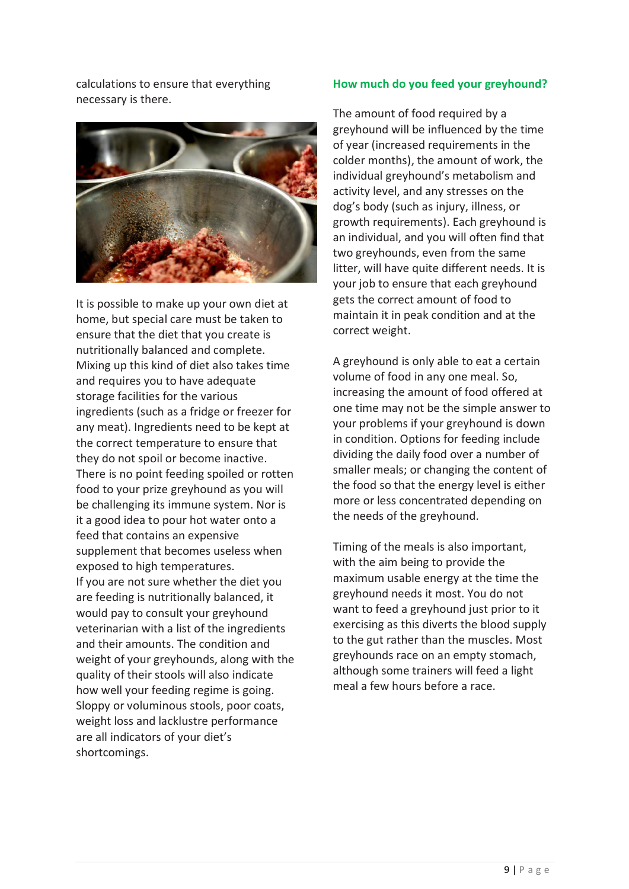calculations to ensure that everything necessary is there.



It is possible to make up your own diet at home, but special care must be taken to ensure that the diet that you create is nutritionally balanced and complete. Mixing up this kind of diet also takes time and requires you to have adequate storage facilities for the various ingredients (such as a fridge or freezer for any meat). Ingredients need to be kept at the correct temperature to ensure that they do not spoil or become inactive. There is no point feeding spoiled or rotten food to your prize greyhound as you will be challenging its immune system. Nor is it a good idea to pour hot water onto a feed that contains an expensive supplement that becomes useless when exposed to high temperatures. If you are not sure whether the diet you are feeding is nutritionally balanced, it would pay to consult your greyhound veterinarian with a list of the ingredients and their amounts. The condition and weight of your greyhounds, along with the quality of their stools will also indicate how well your feeding regime is going. Sloppy or voluminous stools, poor coats, weight loss and lacklustre performance are all indicators of your diet's shortcomings.

#### **How much do you feed your greyhound?**

The amount of food required by a greyhound will be influenced by the time of year (increased requirements in the colder months), the amount of work, the individual greyhound's metabolism and activity level, and any stresses on the dog's body (such as injury, illness, or growth requirements). Each greyhound is an individual, and you will often find that two greyhounds, even from the same litter, will have quite different needs. It is your job to ensure that each greyhound gets the correct amount of food to maintain it in peak condition and at the correct weight.

A greyhound is only able to eat a certain volume of food in any one meal. So, increasing the amount of food offered at one time may not be the simple answer to your problems if your greyhound is down in condition. Options for feeding include dividing the daily food over a number of smaller meals; or changing the content of the food so that the energy level is either more or less concentrated depending on the needs of the greyhound.

Timing of the meals is also important, with the aim being to provide the maximum usable energy at the time the greyhound needs it most. You do not want to feed a greyhound just prior to it exercising as this diverts the blood supply to the gut rather than the muscles. Most greyhounds race on an empty stomach, although some trainers will feed a light meal a few hours before a race.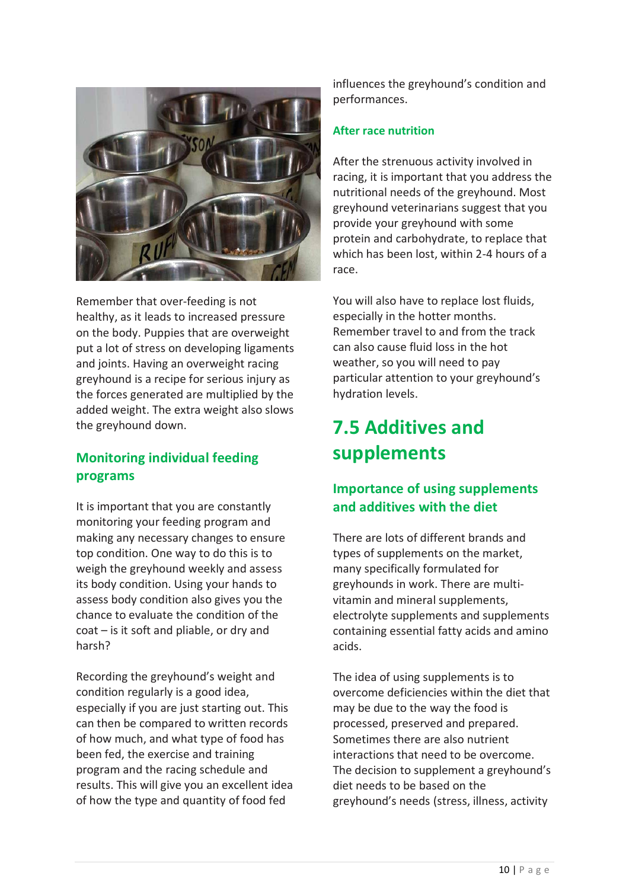

Remember that over-feeding is not healthy, as it leads to increased pressure on the body. Puppies that are overweight put a lot of stress on developing ligaments and joints. Having an overweight racing greyhound is a recipe for serious injury as the forces generated are multiplied by the added weight. The extra weight also slows the greyhound down.

# **Monitoring individual feeding programs**

It is important that you are constantly monitoring your feeding program and making any necessary changes to ensure top condition. One way to do this is to weigh the greyhound weekly and assess its body condition. Using your hands to assess body condition also gives you the chance to evaluate the condition of the coat – is it soft and pliable, or dry and harsh?

Recording the greyhound's weight and condition regularly is a good idea, especially if you are just starting out. This can then be compared to written records of how much, and what type of food has been fed, the exercise and training program and the racing schedule and results. This will give you an excellent idea of how the type and quantity of food fed

influences the greyhound's condition and performances.

#### **After race nutrition**

After the strenuous activity involved in racing, it is important that you address the nutritional needs of the greyhound. Most greyhound veterinarians suggest that you provide your greyhound with some protein and carbohydrate, to replace that which has been lost, within 2-4 hours of a race.

You will also have to replace lost fluids, especially in the hotter months. Remember travel to and from the track can also cause fluid loss in the hot weather, so you will need to pay particular attention to your greyhound's hydration levels.

# **7.5 Additives and supplements**

# **Importance of using supplements and additives with the diet**

There are lots of different brands and types of supplements on the market, many specifically formulated for greyhounds in work. There are multivitamin and mineral supplements, electrolyte supplements and supplements containing essential fatty acids and amino acids.

The idea of using supplements is to overcome deficiencies within the diet that may be due to the way the food is processed, preserved and prepared. Sometimes there are also nutrient interactions that need to be overcome. The decision to supplement a greyhound's diet needs to be based on the greyhound's needs (stress, illness, activity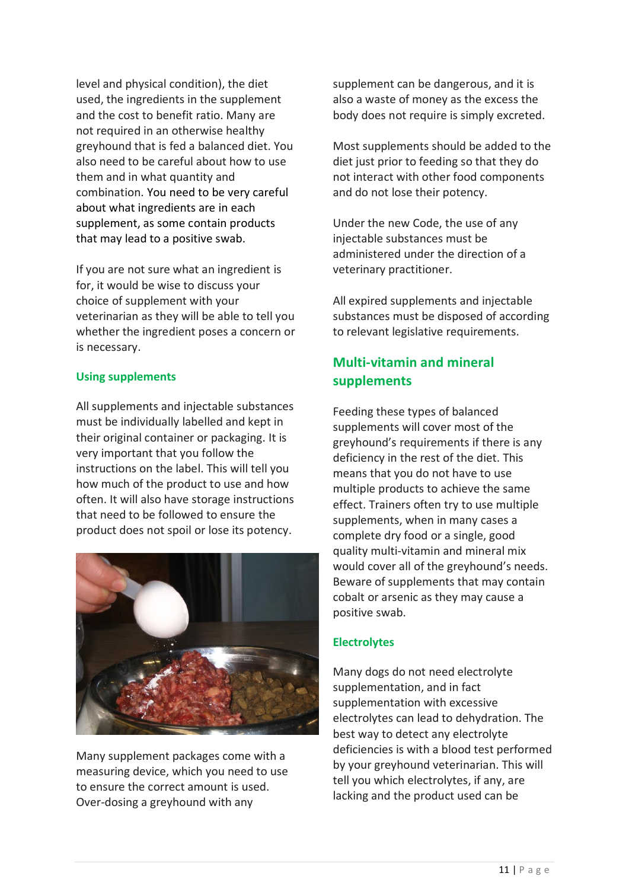level and physical condition), the diet used, the ingredients in the supplement and the cost to benefit ratio. Many are not required in an otherwise healthy greyhound that is fed a balanced diet. You also need to be careful about how to use them and in what quantity and combination. You need to be very careful about what ingredients are in each supplement, as some contain products that may lead to a positive swab.

If you are not sure what an ingredient is for, it would be wise to discuss your choice of supplement with your veterinarian as they will be able to tell you whether the ingredient poses a concern or is necessary.

#### **Using supplements**

All supplements and injectable substances must be individually labelled and kept in their original container or packaging. It is very important that you follow the instructions on the label. This will tell you how much of the product to use and how often. It will also have storage instructions that need to be followed to ensure the product does not spoil or lose its potency.



Many supplement packages come with a measuring device, which you need to use to ensure the correct amount is used. Over-dosing a greyhound with any

supplement can be dangerous, and it is also a waste of money as the excess the body does not require is simply excreted.

Most supplements should be added to the diet just prior to feeding so that they do not interact with other food components and do not lose their potency.

Under the new Code, the use of any injectable substances must be administered under the direction of a veterinary practitioner.

All expired supplements and injectable substances must be disposed of according to relevant legislative requirements.

# **Multi-vitamin and mineral supplements**

Feeding these types of balanced supplements will cover most of the greyhound's requirements if there is any deficiency in the rest of the diet. This means that you do not have to use multiple products to achieve the same effect. Trainers often try to use multiple supplements, when in many cases a complete dry food or a single, good quality multi-vitamin and mineral mix would cover all of the greyhound's needs. Beware of supplements that may contain cobalt or arsenic as they may cause a positive swab.

#### **Electrolytes**

Many dogs do not need electrolyte supplementation, and in fact supplementation with excessive electrolytes can lead to dehydration. The best way to detect any electrolyte deficiencies is with a blood test performed by your greyhound veterinarian. This will tell you which electrolytes, if any, are lacking and the product used can be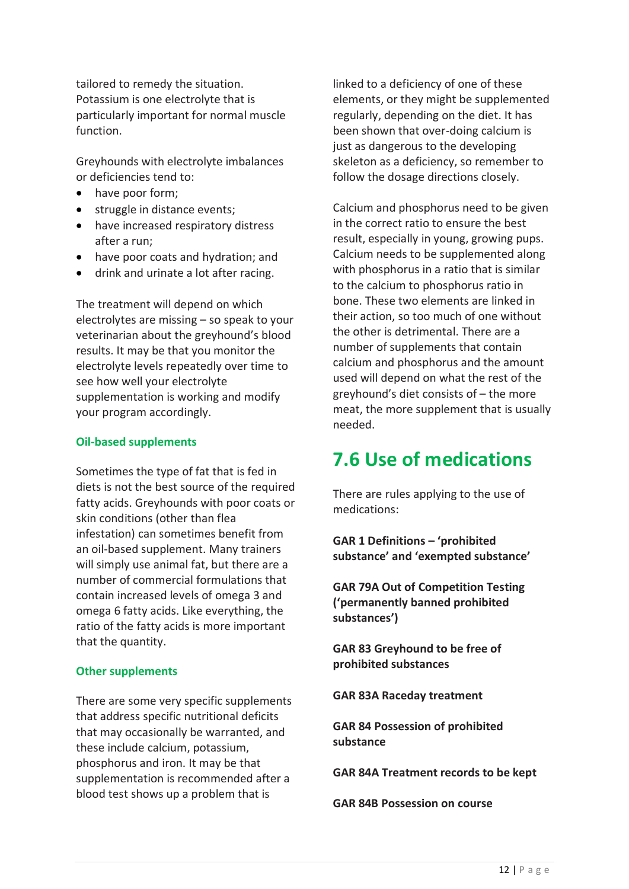tailored to remedy the situation. Potassium is one electrolyte that is particularly important for normal muscle function.

Greyhounds with electrolyte imbalances or deficiencies tend to:

- have poor form;
- struggle in distance events;
- have increased respiratory distress after a run;
- have poor coats and hydration; and
- drink and urinate a lot after racing.

The treatment will depend on which electrolytes are missing – so speak to your veterinarian about the greyhound's blood results. It may be that you monitor the electrolyte levels repeatedly over time to see how well your electrolyte supplementation is working and modify your program accordingly.

#### **Oil-based supplements**

Sometimes the type of fat that is fed in diets is not the best source of the required fatty acids. Greyhounds with poor coats or skin conditions (other than flea infestation) can sometimes benefit from an oil-based supplement. Many trainers will simply use animal fat, but there are a number of commercial formulations that contain increased levels of omega 3 and omega 6 fatty acids. Like everything, the ratio of the fatty acids is more important that the quantity.

#### **Other supplements**

There are some very specific supplements that address specific nutritional deficits that may occasionally be warranted, and these include calcium, potassium, phosphorus and iron. It may be that supplementation is recommended after a blood test shows up a problem that is

linked to a deficiency of one of these elements, or they might be supplemented regularly, depending on the diet. It has been shown that over-doing calcium is just as dangerous to the developing skeleton as a deficiency, so remember to follow the dosage directions closely.

Calcium and phosphorus need to be given in the correct ratio to ensure the best result, especially in young, growing pups. Calcium needs to be supplemented along with phosphorus in a ratio that is similar to the calcium to phosphorus ratio in bone. These two elements are linked in their action, so too much of one without the other is detrimental. There are a number of supplements that contain calcium and phosphorus and the amount used will depend on what the rest of the greyhound's diet consists of – the more meat, the more supplement that is usually needed.

# **7.6 Use of medications**

There are rules applying to the use of medications:

**GAR 1 Definitions – 'prohibited substance' and 'exempted substance'**

**GAR 79A Out of Competition Testing ('permanently banned prohibited substances')**

**GAR 83 Greyhound to be free of prohibited substances**

**GAR 83A Raceday treatment**

**GAR 84 Possession of prohibited substance**

**GAR 84A Treatment records to be kept**

**GAR 84B Possession on course**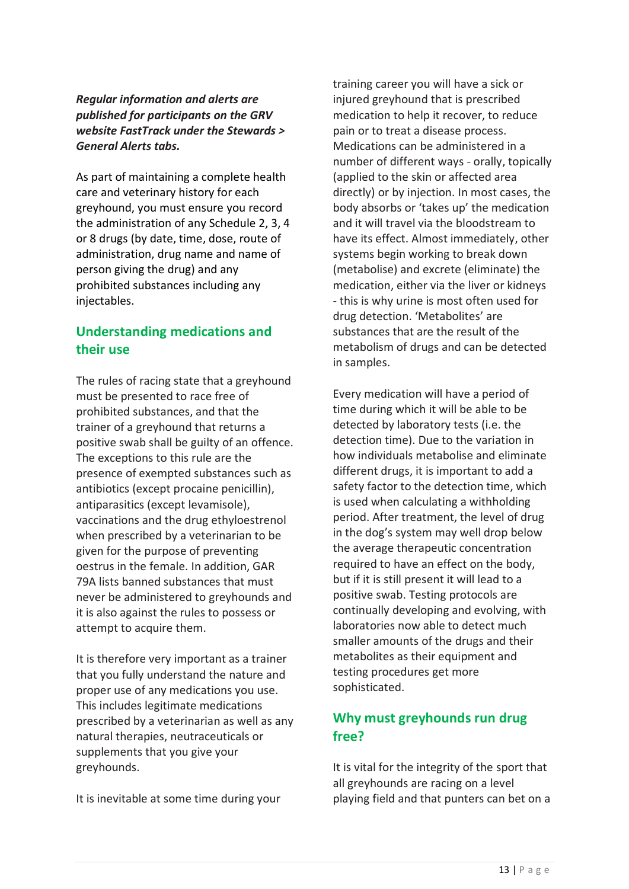#### *Regular information and alerts are published for participants on the GRV website FastTrack under the Stewards > General Alerts tabs.*

As part of maintaining a complete health care and veterinary history for each greyhound, you must ensure you record the administration of any Schedule 2, 3, 4 or 8 drugs (by date, time, dose, route of administration, drug name and name of person giving the drug) and any prohibited substances including any injectables.

# **Understanding medications and their use**

The rules of racing state that a greyhound must be presented to race free of prohibited substances, and that the trainer of a greyhound that returns a positive swab shall be guilty of an offence. The exceptions to this rule are the presence of exempted substances such as antibiotics (except procaine penicillin), antiparasitics (except levamisole), vaccinations and the drug ethyloestrenol when prescribed by a veterinarian to be given for the purpose of preventing oestrus in the female. In addition, GAR 79A lists banned substances that must never be administered to greyhounds and it is also against the rules to possess or attempt to acquire them.

It is therefore very important as a trainer that you fully understand the nature and proper use of any medications you use. This includes legitimate medications prescribed by a veterinarian as well as any natural therapies, neutraceuticals or supplements that you give your greyhounds.

It is inevitable at some time during your

training career you will have a sick or injured greyhound that is prescribed medication to help it recover, to reduce pain or to treat a disease process. Medications can be administered in a number of different ways - orally, topically (applied to the skin or affected area directly) or by injection. In most cases, the body absorbs or 'takes up' the medication and it will travel via the bloodstream to have its effect. Almost immediately, other systems begin working to break down (metabolise) and excrete (eliminate) the medication, either via the liver or kidneys - this is why urine is most often used for drug detection. 'Metabolites' are substances that are the result of the metabolism of drugs and can be detected in samples.

Every medication will have a period of time during which it will be able to be detected by laboratory tests (i.e. the detection time). Due to the variation in how individuals metabolise and eliminate different drugs, it is important to add a safety factor to the detection time, which is used when calculating a withholding period. After treatment, the level of drug in the dog's system may well drop below the average therapeutic concentration required to have an effect on the body, but if it is still present it will lead to a positive swab. Testing protocols are continually developing and evolving, with laboratories now able to detect much smaller amounts of the drugs and their metabolites as their equipment and testing procedures get more sophisticated.

# **Why must greyhounds run drug free?**

It is vital for the integrity of the sport that all greyhounds are racing on a level playing field and that punters can bet on a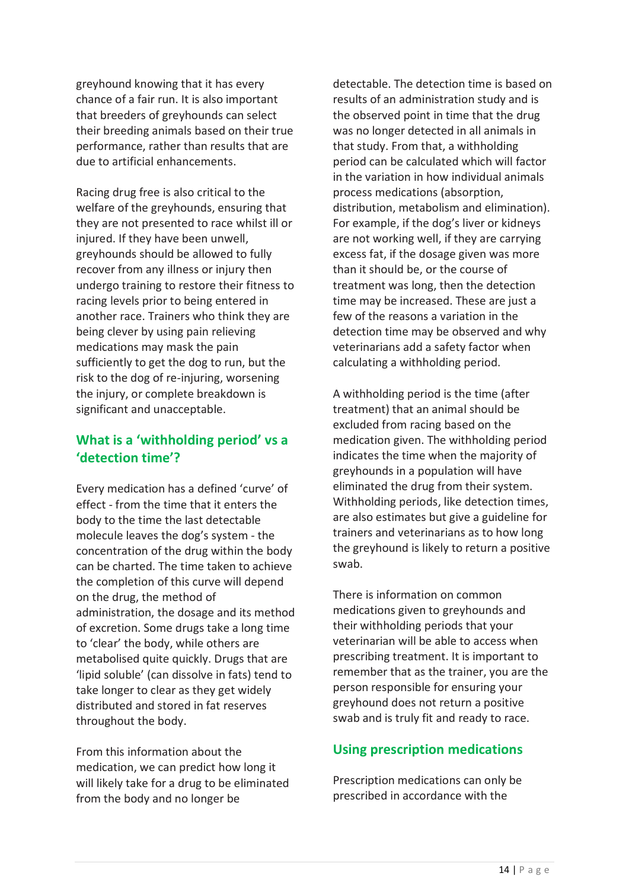greyhound knowing that it has every chance of a fair run. It is also important that breeders of greyhounds can select their breeding animals based on their true performance, rather than results that are due to artificial enhancements.

Racing drug free is also critical to the welfare of the greyhounds, ensuring that they are not presented to race whilst ill or injured. If they have been unwell, greyhounds should be allowed to fully recover from any illness or injury then undergo training to restore their fitness to racing levels prior to being entered in another race. Trainers who think they are being clever by using pain relieving medications may mask the pain sufficiently to get the dog to run, but the risk to the dog of re-injuring, worsening the injury, or complete breakdown is significant and unacceptable.

## **What is a 'withholding period' vs a 'detection time'?**

Every medication has a defined 'curve' of effect - from the time that it enters the body to the time the last detectable molecule leaves the dog's system - the concentration of the drug within the body can be charted. The time taken to achieve the completion of this curve will depend on the drug, the method of administration, the dosage and its method of excretion. Some drugs take a long time to 'clear' the body, while others are metabolised quite quickly. Drugs that are 'lipid soluble' (can dissolve in fats) tend to take longer to clear as they get widely distributed and stored in fat reserves throughout the body.

From this information about the medication, we can predict how long it will likely take for a drug to be eliminated from the body and no longer be

detectable. The detection time is based on results of an administration study and is the observed point in time that the drug was no longer detected in all animals in that study. From that, a withholding period can be calculated which will factor in the variation in how individual animals process medications (absorption, distribution, metabolism and elimination). For example, if the dog's liver or kidneys are not working well, if they are carrying excess fat, if the dosage given was more than it should be, or the course of treatment was long, then the detection time may be increased. These are just a few of the reasons a variation in the detection time may be observed and why veterinarians add a safety factor when calculating a withholding period.

A withholding period is the time (after treatment) that an animal should be excluded from racing based on the medication given. The withholding period indicates the time when the majority of greyhounds in a population will have eliminated the drug from their system. Withholding periods, like detection times, are also estimates but give a guideline for trainers and veterinarians as to how long the greyhound is likely to return a positive swab.

There is information on common medications given to greyhounds and their withholding periods that your veterinarian will be able to access when prescribing treatment. It is important to remember that as the trainer, you are the person responsible for ensuring your greyhound does not return a positive swab and is truly fit and ready to race.

### **Using prescription medications**

Prescription medications can only be prescribed in accordance with the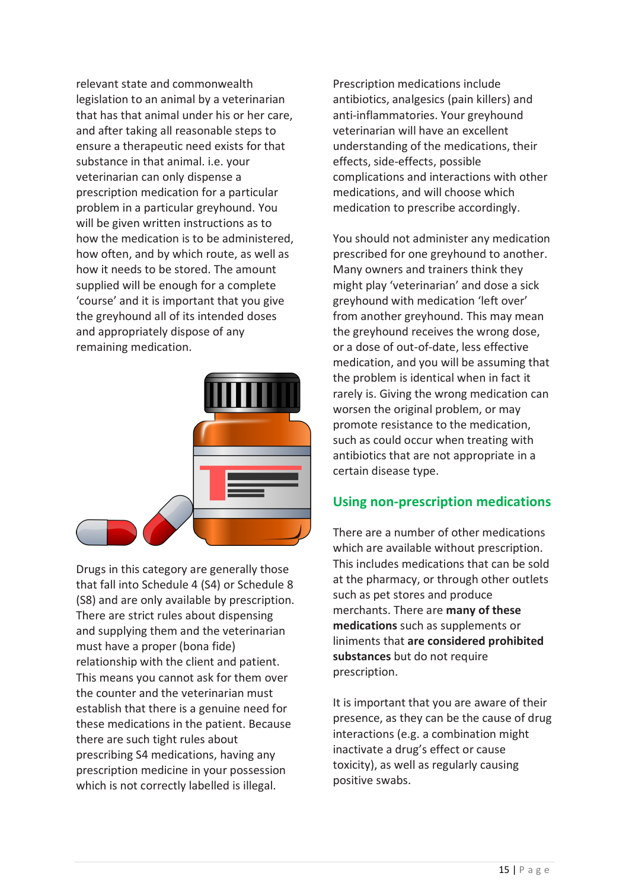relevant state and commonwealth legislation to an animal by a veterinarian that has that animal under his or her care, and after taking all reasonable steps to ensure a therapeutic need exists for that substance in that animal. i.e. your veterinarian can only dispense a prescription medication for a particular problem in a particular greyhound. You will be given written instructions as to how the medication is to be administered, how often, and by which route, as well as how it needs to be stored. The amount supplied will be enough for a complete 'course' and it is important that you give the greyhound all of its intended doses and appropriately dispose of any remaining medication.



Drugs in this category are generally those that fall into Schedule 4 (S4) or Schedule 8 (S8) and are only available by prescription. There are strict rules about dispensing and supplying them and the veterinarian must have a proper (bona fide) relationship with the client and patient. This means you cannot ask for them over the counter and the veterinarian must establish that there is a genuine need for these medications in the patient. Because there are such tight rules about prescribing S4 medications, having any prescription medicine in your possession which is not correctly labelled is illegal.

Prescription medications include antibiotics, analgesics (pain killers) and anti-inflammatories. Your greyhound veterinarian will have an excellent understanding of the medications, their effects, side-effects, possible complications and interactions with other medications, and will choose which medication to prescribe accordingly.

You should not administer any medication prescribed for one greyhound to another. Many owners and trainers think they might play 'veterinarian' and dose a sick greyhound with medication 'left over' from another greyhound. This may mean the greyhound receives the wrong dose, or a dose of out-of-date, less effective medication, and you will be assuming that the problem is identical when in fact it rarely is. Giving the wrong medication can worsen the original problem, or may promote resistance to the medication, such as could occur when treating with antibiotics that are not appropriate in a certain disease type.

### **Using non-prescription medications**

There are a number of other medications which are available without prescription. This includes medications that can be sold at the pharmacy, or through other outlets such as pet stores and produce merchants. There are **many of these medications** such as supplements or liniments that **are considered prohibited substances** but do not require prescription.

It is important that you are aware of their presence, as they can be the cause of drug interactions (e.g. a combination might inactivate a drug's effect or cause toxicity), as well as regularly causing positive swabs.